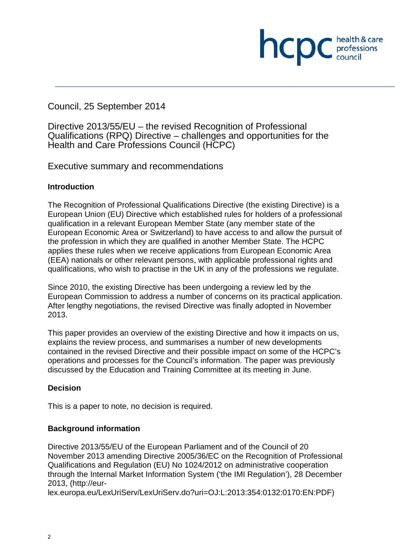## Council, 25 September 2014

Directive 2013/55/EU – the revised Recognition of Professional Qualifications (RPQ) Directive – challenges and opportunities for the Health and Care Professions Council (HCPC)

hcpc

professions<br>council

Executive summary and recommendations

#### **Introduction**

The Recognition of Professional Qualifications Directive (the existing Directive) is a European Union (EU) Directive which established rules for holders of a professional qualification in a relevant European Member State (any member state of the European Economic Area or Switzerland) to have access to and allow the pursuit of the profession in which they are qualified in another Member State. The HCPC applies these rules when we receive applications from European Economic Area (EEA) nationals or other relevant persons, with applicable professional rights and qualifications, who wish to practise in the UK in any of the professions we regulate.

Since 2010, the existing Directive has been undergoing a review led by the European Commission to address a number of concerns on its practical application. After lengthy negotiations, the revised Directive was finally adopted in November 2013.

This paper provides an overview of the existing Directive and how it impacts on us, explains the review process, and summarises a number of new developments contained in the revised Directive and their possible impact on some of the HCPC's operations and processes for the Council's information. The paper was previously discussed by the Education and Training Committee at its meeting in June.

## **Decision**

This is a paper to note, no decision is required.

## **Background information**

Directive 2013/55/EU of the European Parliament and of the Council of 20 November 2013 amending Directive 2005/36/EC on the Recognition of Professional Qualifications and Regulation (EU) No 1024/2012 on administrative cooperation through the Internal Market Information System ('the IMI Regulation'), 28 December 2013, (http://eur-

lex.europa.eu/LexUriServ/LexUriServ.do?uri=OJ:L:2013:354:0132:0170:EN:PDF)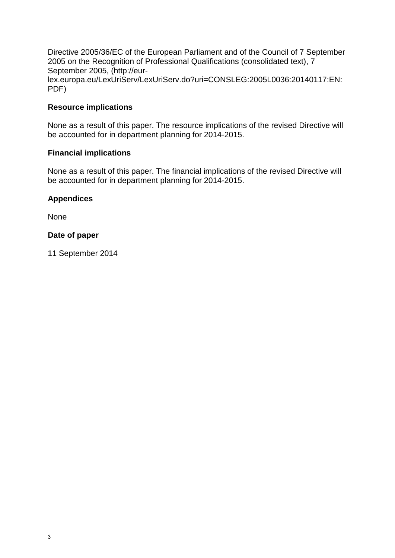Directive 2005/36/EC of the European Parliament and of the Council of 7 September 2005 on the Recognition of Professional Qualifications (consolidated text), 7 September 2005, (http://eurlex.europa.eu/LexUriServ/LexUriServ.do?uri=CONSLEG:2005L0036:20140117:EN: PDF)

#### **Resource implications**

None as a result of this paper. The resource implications of the revised Directive will be accounted for in department planning for 2014-2015.

#### **Financial implications**

None as a result of this paper. The financial implications of the revised Directive will be accounted for in department planning for 2014-2015.

#### **Appendices**

None

#### **Date of paper**

11 September 2014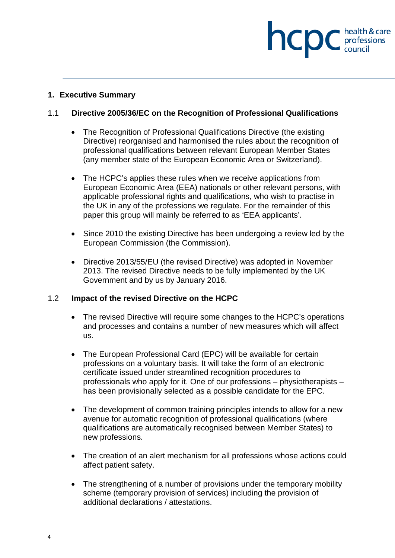# **INCDC** *c health & care*

#### **1. Executive Summary**

## 1.1 **Directive 2005/36/EC on the Recognition of Professional Qualifications**

- The Recognition of Professional Qualifications Directive (the existing Directive) reorganised and harmonised the rules about the recognition of professional qualifications between relevant European Member States (any member state of the European Economic Area or Switzerland).
- The HCPC's applies these rules when we receive applications from European Economic Area (EEA) nationals or other relevant persons, with applicable professional rights and qualifications, who wish to practise in the UK in any of the professions we regulate. For the remainder of this paper this group will mainly be referred to as 'EEA applicants'.
- Since 2010 the existing Directive has been undergoing a review led by the European Commission (the Commission).
- Directive 2013/55/EU (the revised Directive) was adopted in November 2013. The revised Directive needs to be fully implemented by the UK Government and by us by January 2016.

#### 1.2 **Impact of the revised Directive on the HCPC**

- The revised Directive will require some changes to the HCPC's operations and processes and contains a number of new measures which will affect us.
- The European Professional Card (EPC) will be available for certain professions on a voluntary basis. It will take the form of an electronic certificate issued under streamlined recognition procedures to professionals who apply for it. One of our professions – physiotherapists – has been provisionally selected as a possible candidate for the EPC.
- The development of common training principles intends to allow for a new avenue for automatic recognition of professional qualifications (where qualifications are automatically recognised between Member States) to new professions.
- The creation of an alert mechanism for all professions whose actions could affect patient safety.
- The strengthening of a number of provisions under the temporary mobility scheme (temporary provision of services) including the provision of additional declarations / attestations.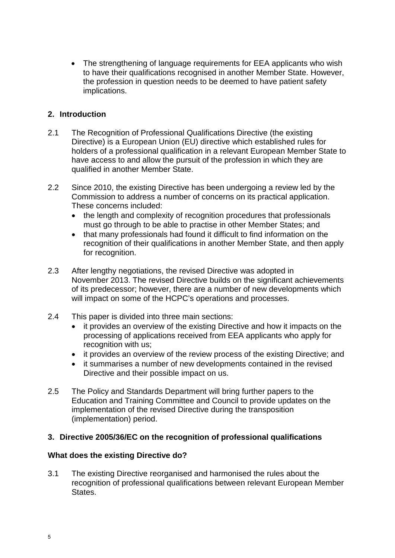• The strengthening of language requirements for EEA applicants who wish to have their qualifications recognised in another Member State. However, the profession in question needs to be deemed to have patient safety implications.

## **2. Introduction**

- 2.1 The Recognition of Professional Qualifications Directive (the existing Directive) is a European Union (EU) directive which established rules for holders of a professional qualification in a relevant European Member State to have access to and allow the pursuit of the profession in which they are qualified in another Member State.
- 2.2 Since 2010, the existing Directive has been undergoing a review led by the Commission to address a number of concerns on its practical application. These concerns included:
	- the length and complexity of recognition procedures that professionals must go through to be able to practise in other Member States; and
	- that many professionals had found it difficult to find information on the recognition of their qualifications in another Member State, and then apply for recognition.
- 2.3 After lengthy negotiations, the revised Directive was adopted in November 2013. The revised Directive builds on the significant achievements of its predecessor; however, there are a number of new developments which will impact on some of the HCPC's operations and processes.
- 2.4 This paper is divided into three main sections:
	- it provides an overview of the existing Directive and how it impacts on the processing of applications received from EEA applicants who apply for recognition with us;
	- it provides an overview of the review process of the existing Directive; and
	- it summarises a number of new developments contained in the revised Directive and their possible impact on us.
- 2.5 The Policy and Standards Department will bring further papers to the Education and Training Committee and Council to provide updates on the implementation of the revised Directive during the transposition (implementation) period.

#### **3. Directive 2005/36/EC on the recognition of professional qualifications**

#### **What does the existing Directive do?**

3.1 The existing Directive reorganised and harmonised the rules about the recognition of professional qualifications between relevant European Member States.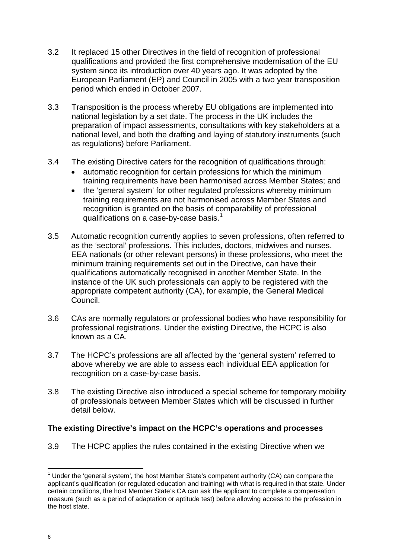- 3.2 It replaced 15 other Directives in the field of recognition of professional qualifications and provided the first comprehensive modernisation of the EU system since its introduction over 40 years ago. It was adopted by the European Parliament (EP) and Council in 2005 with a two year transposition period which ended in October 2007.
- 3.3 Transposition is the process whereby EU obligations are implemented into national legislation by a set date. The process in the UK includes the preparation of impact assessments, consultations with key stakeholders at a national level, and both the drafting and laying of statutory instruments (such as regulations) before Parliament.
- 3.4 The existing Directive caters for the recognition of qualifications through:
	- automatic recognition for certain professions for which the minimum training requirements have been harmonised across Member States; and
	- the 'general system' for other regulated professions whereby minimum training requirements are not harmonised across Member States and recognition is granted on the basis of comparability of professional qualifications on a case-by-case basis.<sup>1</sup>
- 3.5 Automatic recognition currently applies to seven professions, often referred to as the 'sectoral' professions. This includes, doctors, midwives and nurses. EEA nationals (or other relevant persons) in these professions, who meet the minimum training requirements set out in the Directive, can have their qualifications automatically recognised in another Member State. In the instance of the UK such professionals can apply to be registered with the appropriate competent authority (CA), for example, the General Medical Council.
- 3.6 CAs are normally regulators or professional bodies who have responsibility for professional registrations. Under the existing Directive, the HCPC is also known as a CA.
- 3.7 The HCPC's professions are all affected by the 'general system' referred to above whereby we are able to assess each individual EEA application for recognition on a case-by-case basis.
- 3.8 The existing Directive also introduced a special scheme for temporary mobility of professionals between Member States which will be discussed in further detail below.

## **The existing Directive's impact on the HCPC's operations and processes**

3.9 The HCPC applies the rules contained in the existing Directive when we

 $\overline{\phantom{a}}$ 

 $<sup>1</sup>$  Under the 'general system', the host Member State's competent authority (CA) can compare the</sup> applicant's qualification (or regulated education and training) with what is required in that state. Under certain conditions, the host Member State's CA can ask the applicant to complete a compensation measure (such as a period of adaptation or aptitude test) before allowing access to the profession in the host state.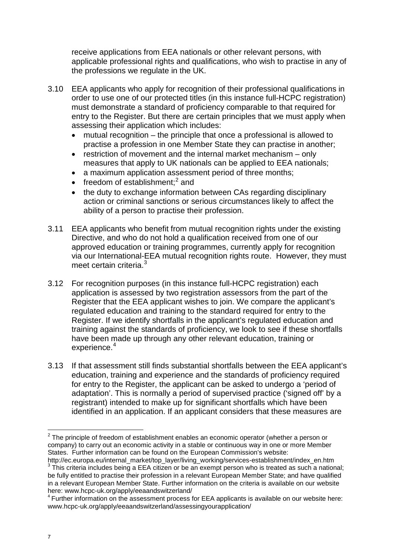receive applications from EEA nationals or other relevant persons, with applicable professional rights and qualifications, who wish to practise in any of the professions we regulate in the UK.

- 3.10 EEA applicants who apply for recognition of their professional qualifications in order to use one of our protected titles (in this instance full-HCPC registration) must demonstrate a standard of proficiency comparable to that required for entry to the Register. But there are certain principles that we must apply when assessing their application which includes:
	- mutual recognition the principle that once a professional is allowed to practise a profession in one Member State they can practise in another;
	- restriction of movement and the internal market mechanism only measures that apply to UK nationals can be applied to EEA nationals;
	- a maximum application assessment period of three months:
	- freedom of establishment; $^2$  and
	- the duty to exchange information between CAs regarding disciplinary action or criminal sanctions or serious circumstances likely to affect the ability of a person to practise their profession.
- 3.11 EEA applicants who benefit from mutual recognition rights under the existing Directive, and who do not hold a qualification received from one of our approved education or training programmes, currently apply for recognition via our International-EEA mutual recognition rights route. However, they must meet certain criteria.<sup>3</sup>
- 3.12 For recognition purposes (in this instance full-HCPC registration) each application is assessed by two registration assessors from the part of the Register that the EEA applicant wishes to join. We compare the applicant's regulated education and training to the standard required for entry to the Register. If we identify shortfalls in the applicant's regulated education and training against the standards of proficiency, we look to see if these shortfalls have been made up through any other relevant education, training or experience. 4
- 3.13 If that assessment still finds substantial shortfalls between the EEA applicant's education, training and experience and the standards of proficiency required for entry to the Register, the applicant can be asked to undergo a 'period of adaptation'. This is normally a period of supervised practice ('signed off' by a registrant) intended to make up for significant shortfalls which have been identified in an application. If an applicant considers that these measures are

 $\overline{\phantom{a}}$  $2$  The principle of freedom of establishment enables an economic operator (whether a person or company) to carry out an economic activity in a stable or continuous way in one or more Member States. Further information can be found on the European Commission's website:

http://ec.europa.eu/internal\_market/top\_layer/living\_working/services-establishment/index\_en.htm  $3$  This criteria includes being a EEA citizen or be an exempt person who is treated as such a national; be fully entitled to practise their profession in a relevant European Member State; and have qualified in a relevant European Member State. Further information on the criteria is available on our website here: www.hcpc-uk.org/apply/eeaandswitzerland/

 $4$  Further information on the assessment process for EEA applicants is available on our website here: www.hcpc-uk.org/apply/eeaandswitzerland/assessingyourapplication/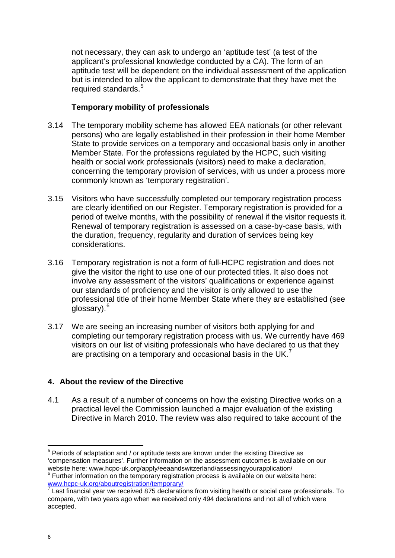not necessary, they can ask to undergo an 'aptitude test' (a test of the applicant's professional knowledge conducted by a CA). The form of an aptitude test will be dependent on the individual assessment of the application but is intended to allow the applicant to demonstrate that they have met the required standards.<sup>5</sup>

#### **Temporary mobility of professionals**

- 3.14 The temporary mobility scheme has allowed EEA nationals (or other relevant persons) who are legally established in their profession in their home Member State to provide services on a temporary and occasional basis only in another Member State. For the professions regulated by the HCPC, such visiting health or social work professionals (visitors) need to make a declaration, concerning the temporary provision of services, with us under a process more commonly known as 'temporary registration'.
- 3.15 Visitors who have successfully completed our temporary registration process are clearly identified on our Register. Temporary registration is provided for a period of twelve months, with the possibility of renewal if the visitor requests it. Renewal of temporary registration is assessed on a case-by-case basis, with the duration, frequency, regularity and duration of services being key considerations.
- 3.16 Temporary registration is not a form of full-HCPC registration and does not give the visitor the right to use one of our protected titles. It also does not involve any assessment of the visitors' qualifications or experience against our standards of proficiency and the visitor is only allowed to use the professional title of their home Member State where they are established (see glossary).<sup>6</sup>
- 3.17 We are seeing an increasing number of visitors both applying for and completing our temporary registration process with us. We currently have 469 visitors on our list of visiting professionals who have declared to us that they are practising on a temporary and occasional basis in the UK. $^7$

## **4. About the review of the Directive**

4.1 As a result of a number of concerns on how the existing Directive works on a practical level the Commission launched a major evaluation of the existing Directive in March 2010. The review was also required to take account of the

 $\overline{\phantom{a}}$  $5$  Periods of adaptation and / or aptitude tests are known under the existing Directive as 'compensation measures'. Further information on the assessment outcomes is available on our

 $\frac{1}{2}$  Further information on the temporary registration process is available on our website here:<br>www.hcpc-uk.org/aboutregistration/ temporary /

Last financial year we received 875 declarations from visiting health or social care professionals. To compare, with two years ago when we received only 494 declarations and not all of which were accepted.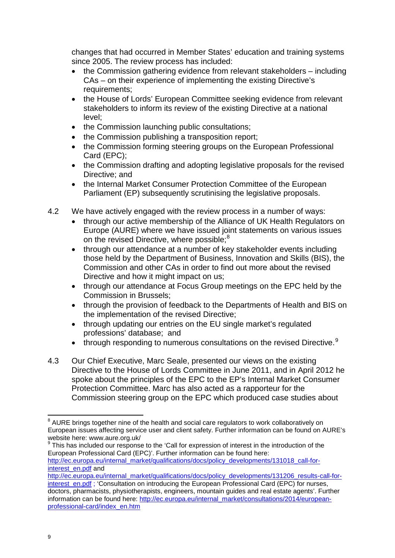changes that had occurred in Member States' education and training systems since 2005. The review process has included:

- the Commission gathering evidence from relevant stakeholders including CAs – on their experience of implementing the existing Directive's requirements;
- the House of Lords' European Committee seeking evidence from relevant stakeholders to inform its review of the existing Directive at a national level;
- the Commission launching public consultations;
- the Commission publishing a transposition report;
- the Commission forming steering groups on the European Professional Card (EPC);
- the Commission drafting and adopting legislative proposals for the revised Directive; and
- the Internal Market Consumer Protection Committee of the European Parliament (EP) subsequently scrutinising the legislative proposals.
- 4.2 We have actively engaged with the review process in a number of ways:
	- through our active membership of the Alliance of UK Health Regulators on Europe (AURE) where we have issued joint statements on various issues on the revised Directive, where possible;<sup>8</sup>
	- through our attendance at a number of key stakeholder events including those held by the Department of Business, Innovation and Skills (BIS), the Commission and other CAs in order to find out more about the revised Directive and how it might impact on us;
	- through our attendance at Focus Group meetings on the EPC held by the Commission in Brussels;
	- through the provision of feedback to the Departments of Health and BIS on the implementation of the revised Directive;
	- through updating our entries on the EU single market's regulated professions' database; and
	- through responding to numerous consultations on the revised Directive.<sup>9</sup>
- 4.3 Our Chief Executive, Marc Seale, presented our views on the existing Directive to the House of Lords Committee in June 2011, and in April 2012 he spoke about the principles of the EPC to the EP's Internal Market Consumer Protection Committee. Marc has also acted as a rapporteur for the Commission steering group on the EPC which produced case studies about

<sup>9</sup> This has included our response to the 'Call for expression of interest in the introduction of the European Professional Card (EPC)'. Further information can be found here: http://ec.europa.eu/internal\_market/qualifications/docs/policy\_developments/131018\_call-forinterest\_en.pdf and

**.** 

 $8$  AURE brings together nine of the health and social care regulators to work collaboratively on European issues affecting service user and client safety. Further information can be found on AURE's website here: www.aure.org.uk/

http://ec.europa.eu/internal\_market/qualifications/docs/policy\_developments/131206\_results-call-forinterest\_en.pdf ; 'Consultation on introducing the European Professional Card (EPC) for nurses, doctors, pharmacists, physiotherapists, engineers, mountain guides and real estate agents'. Further information can be found here: http://ec.europa.eu/internal\_market/consultations/2014/europeanprofessional-card/index\_en.htm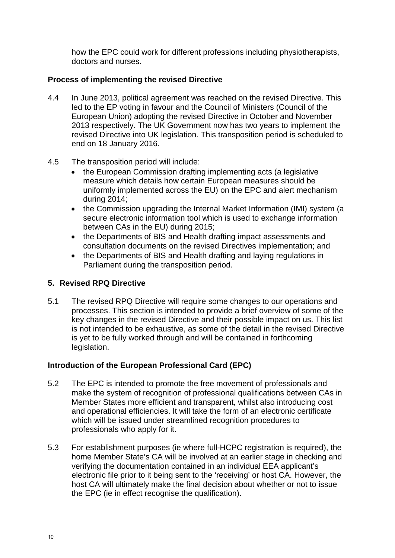how the EPC could work for different professions including physiotherapists, doctors and nurses.

## **Process of implementing the revised Directive**

- 4.4 In June 2013, political agreement was reached on the revised Directive. This led to the EP voting in favour and the Council of Ministers (Council of the European Union) adopting the revised Directive in October and November 2013 respectively. The UK Government now has two years to implement the revised Directive into UK legislation. This transposition period is scheduled to end on 18 January 2016.
- 4.5 The transposition period will include:
	- the European Commission drafting implementing acts (a legislative measure which details how certain European measures should be uniformly implemented across the EU) on the EPC and alert mechanism during 2014;
	- the Commission upgrading the Internal Market Information (IMI) system (a secure electronic information tool which is used to exchange information between CAs in the EU) during 2015;
	- the Departments of BIS and Health drafting impact assessments and consultation documents on the revised Directives implementation; and
	- the Departments of BIS and Health drafting and laying regulations in Parliament during the transposition period.

## **5. Revised RPQ Directive**

5.1 The revised RPQ Directive will require some changes to our operations and processes. This section is intended to provide a brief overview of some of the key changes in the revised Directive and their possible impact on us. This list is not intended to be exhaustive, as some of the detail in the revised Directive is yet to be fully worked through and will be contained in forthcoming legislation.

## **Introduction of the European Professional Card (EPC)**

- 5.2 The EPC is intended to promote the free movement of professionals and make the system of recognition of professional qualifications between CAs in Member States more efficient and transparent, whilst also introducing cost and operational efficiencies. It will take the form of an electronic certificate which will be issued under streamlined recognition procedures to professionals who apply for it.
- 5.3 For establishment purposes (ie where full-HCPC registration is required), the home Member State's CA will be involved at an earlier stage in checking and verifying the documentation contained in an individual EEA applicant's electronic file prior to it being sent to the 'receiving' or host CA. However, the host CA will ultimately make the final decision about whether or not to issue the EPC (ie in effect recognise the qualification).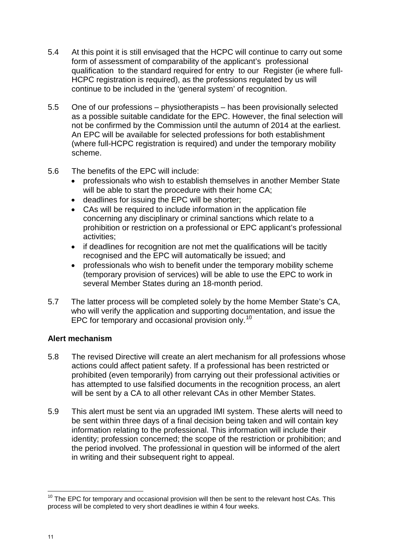- 5.4 At this point it is still envisaged that the HCPC will continue to carry out some form of assessment of comparability of the applicant's professional qualification to the standard required for entry to our Register (ie where full-HCPC registration is required), as the professions regulated by us will continue to be included in the 'general system' of recognition.
- 5.5 One of our professions physiotherapists has been provisionally selected as a possible suitable candidate for the EPC. However, the final selection will not be confirmed by the Commission until the autumn of 2014 at the earliest. An EPC will be available for selected professions for both establishment (where full-HCPC registration is required) and under the temporary mobility scheme.
- 5.6 The benefits of the EPC will include:
	- professionals who wish to establish themselves in another Member State will be able to start the procedure with their home CA;
	- deadlines for issuing the EPC will be shorter;
	- CAs will be required to include information in the application file concerning any disciplinary or criminal sanctions which relate to a prohibition or restriction on a professional or EPC applicant's professional activities;
	- if deadlines for recognition are not met the qualifications will be tacitly recognised and the EPC will automatically be issued; and
	- professionals who wish to benefit under the temporary mobility scheme (temporary provision of services) will be able to use the EPC to work in several Member States during an 18-month period.
- 5.7 The latter process will be completed solely by the home Member State's CA, who will verify the application and supporting documentation, and issue the EPC for temporary and occasional provision only.<sup>10</sup>

## **Alert mechanism**

- 5.8 The revised Directive will create an alert mechanism for all professions whose actions could affect patient safety. If a professional has been restricted or prohibited (even temporarily) from carrying out their professional activities or has attempted to use falsified documents in the recognition process, an alert will be sent by a CA to all other relevant CAs in other Member States.
- 5.9 This alert must be sent via an upgraded IMI system. These alerts will need to be sent within three days of a final decision being taken and will contain key information relating to the professional. This information will include their identity; profession concerned; the scope of the restriction or prohibition; and the period involved. The professional in question will be informed of the alert in writing and their subsequent right to appeal.

 $\overline{a}$  $10$  The EPC for temporary and occasional provision will then be sent to the relevant host CAs. This process will be completed to very short deadlines ie within 4 four weeks.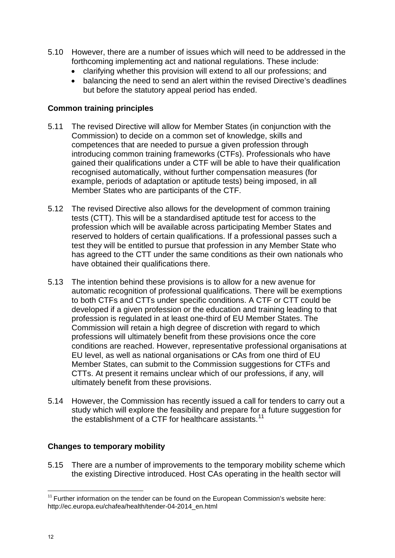- 5.10 However, there are a number of issues which will need to be addressed in the forthcoming implementing act and national regulations. These include:
	- clarifying whether this provision will extend to all our professions; and
	- balancing the need to send an alert within the revised Directive's deadlines but before the statutory appeal period has ended.

#### **Common training principles**

- 5.11 The revised Directive will allow for Member States (in conjunction with the Commission) to decide on a common set of knowledge, skills and competences that are needed to pursue a given profession through introducing common training frameworks (CTFs). Professionals who have gained their qualifications under a CTF will be able to have their qualification recognised automatically, without further compensation measures (for example, periods of adaptation or aptitude tests) being imposed, in all Member States who are participants of the CTF.
- 5.12 The revised Directive also allows for the development of common training tests (CTT). This will be a standardised aptitude test for access to the profession which will be available across participating Member States and reserved to holders of certain qualifications. If a professional passes such a test they will be entitled to pursue that profession in any Member State who has agreed to the CTT under the same conditions as their own nationals who have obtained their qualifications there.
- 5.13 The intention behind these provisions is to allow for a new avenue for automatic recognition of professional qualifications. There will be exemptions to both CTFs and CTTs under specific conditions. A CTF or CTT could be developed if a given profession or the education and training leading to that profession is regulated in at least one-third of EU Member States. The Commission will retain a high degree of discretion with regard to which professions will ultimately benefit from these provisions once the core conditions are reached. However, representative professional organisations at EU level, as well as national organisations or CAs from one third of EU Member States, can submit to the Commission suggestions for CTFs and CTTs. At present it remains unclear which of our professions, if any, will ultimately benefit from these provisions.
- 5.14 However, the Commission has recently issued a call for tenders to carry out a study which will explore the feasibility and prepare for a future suggestion for the establishment of a CTF for healthcare assistants.<sup>11</sup>

#### **Changes to temporary mobility**

5.15 There are a number of improvements to the temporary mobility scheme which the existing Directive introduced. Host CAs operating in the health sector will

 $\overline{a}$ 

 $11$  Further information on the tender can be found on the European Commission's website here: http://ec.europa.eu/chafea/health/tender-04-2014\_en.html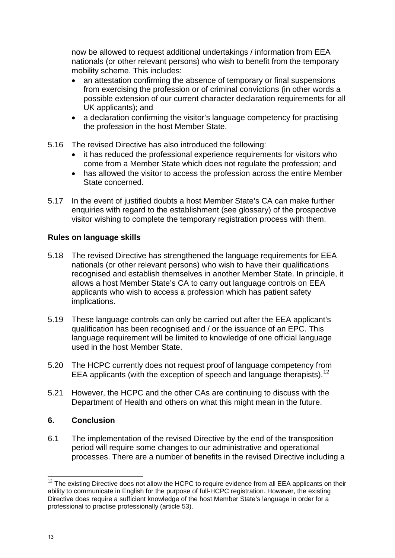now be allowed to request additional undertakings / information from EEA nationals (or other relevant persons) who wish to benefit from the temporary mobility scheme. This includes:

- an attestation confirming the absence of temporary or final suspensions from exercising the profession or of criminal convictions (in other words a possible extension of our current character declaration requirements for all UK applicants); and
- a declaration confirming the visitor's language competency for practising the profession in the host Member State.
- 5.16 The revised Directive has also introduced the following:
	- it has reduced the professional experience requirements for visitors who come from a Member State which does not regulate the profession; and
	- has allowed the visitor to access the profession across the entire Member State concerned.
- 5.17 In the event of justified doubts a host Member State's CA can make further enquiries with regard to the establishment (see glossary) of the prospective visitor wishing to complete the temporary registration process with them.

#### **Rules on language skills**

- 5.18 The revised Directive has strengthened the language requirements for EEA nationals (or other relevant persons) who wish to have their qualifications recognised and establish themselves in another Member State. In principle, it allows a host Member State's CA to carry out language controls on EEA applicants who wish to access a profession which has patient safety implications.
- 5.19 These language controls can only be carried out after the EEA applicant's qualification has been recognised and / or the issuance of an EPC. This language requirement will be limited to knowledge of one official language used in the host Member State.
- 5.20 The HCPC currently does not request proof of language competency from EEA applicants (with the exception of speech and language therapists). 12
- 5.21 However, the HCPC and the other CAs are continuing to discuss with the Department of Health and others on what this might mean in the future.

#### **6. Conclusion**

6.1 The implementation of the revised Directive by the end of the transposition period will require some changes to our administrative and operational processes. There are a number of benefits in the revised Directive including a

 $\overline{a}$ 

 $12$  The existing Directive does not allow the HCPC to require evidence from all EEA applicants on their ability to communicate in English for the purpose of full-HCPC registration. However, the existing Directive does require a sufficient knowledge of the host Member State's language in order for a professional to practise professionally (article 53).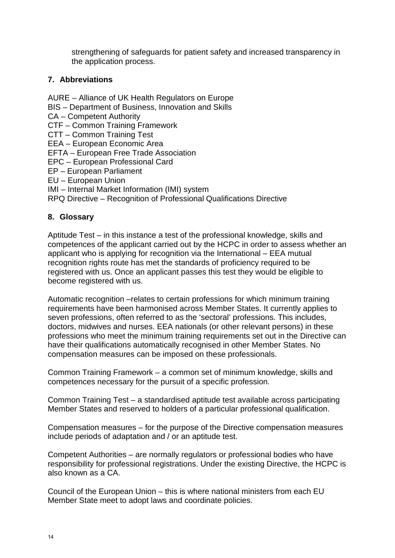strengthening of safeguards for patient safety and increased transparency in the application process.

## **7. Abbreviations**

- AURE Alliance of UK Health Regulators on Europe
- BIS Department of Business, Innovation and Skills
- CA Competent Authority
- CTF Common Training Framework
- CTT Common Training Test
- EEA European Economic Area
- EFTA European Free Trade Association
- EPC European Professional Card
- EP European Parliament
- EU European Union
- IMI Internal Market Information (IMI) system

RPQ Directive – Recognition of Professional Qualifications Directive

#### **8. Glossary**

Aptitude Test – in this instance a test of the professional knowledge, skills and competences of the applicant carried out by the HCPC in order to assess whether an applicant who is applying for recognition via the International – EEA mutual recognition rights route has met the standards of proficiency required to be registered with us. Once an applicant passes this test they would be eligible to become registered with us.

Automatic recognition –relates to certain professions for which minimum training requirements have been harmonised across Member States. It currently applies to seven professions, often referred to as the 'sectoral' professions. This includes, doctors, midwives and nurses. EEA nationals (or other relevant persons) in these professions who meet the minimum training requirements set out in the Directive can have their qualifications automatically recognised in other Member States. No compensation measures can be imposed on these professionals.

Common Training Framework – a common set of minimum knowledge, skills and competences necessary for the pursuit of a specific profession.

Common Training Test – a standardised aptitude test available across participating Member States and reserved to holders of a particular professional qualification.

Compensation measures – for the purpose of the Directive compensation measures include periods of adaptation and / or an aptitude test.

Competent Authorities – are normally regulators or professional bodies who have responsibility for professional registrations. Under the existing Directive, the HCPC is also known as a CA.

Council of the European Union – this is where national ministers from each EU Member State meet to adopt laws and coordinate policies.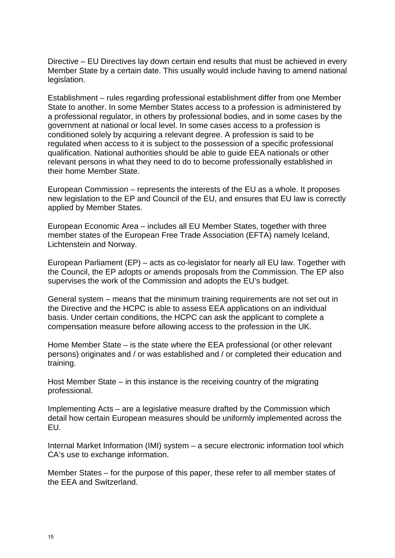Directive – EU Directives lay down certain end results that must be achieved in every Member State by a certain date. This usually would include having to amend national legislation.

Establishment – rules regarding professional establishment differ from one Member State to another. In some Member States access to a profession is administered by a professional regulator, in others by professional bodies, and in some cases by the government at national or local level. In some cases access to a profession is conditioned solely by acquiring a relevant degree. A profession is said to be regulated when access to it is subject to the possession of a specific professional qualification. National authorities should be able to guide EEA nationals or other relevant persons in what they need to do to become professionally established in their home Member State.

European Commission – represents the interests of the EU as a whole. It proposes new legislation to the EP and Council of the EU, and ensures that EU law is correctly applied by Member States.

European Economic Area – includes all EU Member States, together with three member states of the European Free Trade Association (EFTA) namely Iceland, Lichtenstein and Norway.

European Parliament (EP) – acts as co-legislator for nearly all EU law. Together with the Council, the EP adopts or amends proposals from the Commission. The EP also supervises the work of the Commission and adopts the EU's budget.

General system – means that the minimum training requirements are not set out in the Directive and the HCPC is able to assess EEA applications on an individual basis. Under certain conditions, the HCPC can ask the applicant to complete a compensation measure before allowing access to the profession in the UK.

Home Member State – is the state where the EEA professional (or other relevant persons) originates and / or was established and / or completed their education and training.

Host Member State – in this instance is the receiving country of the migrating professional.

Implementing Acts – are a legislative measure drafted by the Commission which detail how certain European measures should be uniformly implemented across the EU.

Internal Market Information (IMI) system – a secure electronic information tool which CA's use to exchange information.

Member States – for the purpose of this paper, these refer to all member states of the EEA and Switzerland.